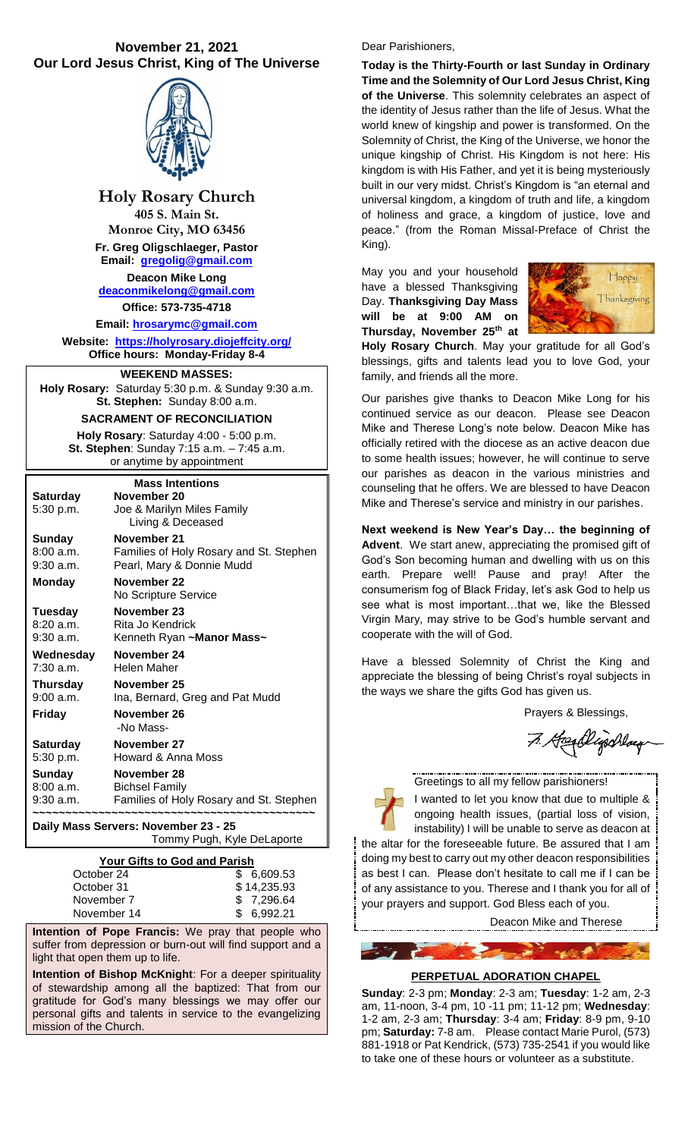# **November 21, 2021 Our Lord Jesus Christ, King of The Universe**



**Holy Rosary Church 405 S. Main St. Monroe City, MO 63456 Fr. Greg Oligschlaeger, Pastor Email: [gregolig@gmail.com](mailto:gregolig@gmail.com) Deacon Mike Long [deaconmikelong@gmail.com](mailto:deaconmikelong@gmail.com) Office: 573-735-4718** 

**Email: [hrosarymc@gmail.com](mailto:hrosarymc@gmail.com) Website: <https://holyrosary.diojeffcity.org/> Office hours: Monday-Friday 8-4**

# **WEEKEND MASSES:**

**Holy Rosary:** Saturday 5:30 p.m. & Sunday 9:30 a.m. **St. Stephen:** Sunday 8:00 a.m.

## **SACRAMENT OF RECONCILIATION**

**Holy Rosary**: Saturday 4:00 - 5:00 p.m. **St. Stephen**: Sunday 7:15 a.m. – 7:45 a.m. or anytime by appointment

| <b>Mass Intentions</b> |                                         |  |  |  |  |
|------------------------|-----------------------------------------|--|--|--|--|
| Saturday               | November 20                             |  |  |  |  |
| 5:30 p.m.              | Joe & Marilyn Miles Family              |  |  |  |  |
|                        | Living & Deceased                       |  |  |  |  |
| Sunday                 | November 21                             |  |  |  |  |
| 8:00a.m.               | Families of Holy Rosary and St. Stephen |  |  |  |  |
| $9:30$ a.m.            | Pearl, Mary & Donnie Mudd               |  |  |  |  |
| <b>Monday</b>          | November 22                             |  |  |  |  |
|                        | No Scripture Service                    |  |  |  |  |
| Tuesday                | November 23                             |  |  |  |  |
| 8:20a.m.               | Rita Jo Kendrick                        |  |  |  |  |
| $9:30$ a.m.            | Kenneth Ryan ~Manor Mass~               |  |  |  |  |
|                        |                                         |  |  |  |  |
| Wednesday              | November 24                             |  |  |  |  |
| 7:30 a.m.              | Helen Maher                             |  |  |  |  |
| Thursday               | November 25                             |  |  |  |  |
| 9:00 a.m.              | Ina, Bernard, Greg and Pat Mudd         |  |  |  |  |
| <b>Friday</b>          | November 26                             |  |  |  |  |
|                        | -No Mass-                               |  |  |  |  |
| <b>Saturday</b>        | November 27                             |  |  |  |  |
| 5:30 p.m.              | Howard & Anna Moss                      |  |  |  |  |
| Sunday                 | November 28                             |  |  |  |  |
| 8:00 a.m.              | <b>Bichsel Family</b>                   |  |  |  |  |
| 9:30 a.m.              | Families of Holy Rosary and St. Stephen |  |  |  |  |

**Daily Mass Servers: November 23 - 25**

Tommy Pugh, Kyle DeLaporte

| <b>Your Gifts to God and Parish</b> |  |
|-------------------------------------|--|
| \$6.609.53                          |  |
| \$14,235.93                         |  |
| \$ 7.296.64                         |  |
| \$6,992.21                          |  |
|                                     |  |

**Intention of Pope Francis:** We pray that people who suffer from depression or burn-out will find support and a light that open them up to life.

**Intention of Bishop McKnight**: For a deeper spirituality of stewardship among all the baptized: That from our gratitude for God's many blessings we may offer our personal gifts and talents in service to the evangelizing mission of the Church.

#### Dear Parishioners,

**Today is the Thirty-Fourth or last Sunday in Ordinary Time and the Solemnity of Our Lord Jesus Christ, King of the Universe**. This solemnity celebrates an aspect of the identity of Jesus rather than the life of Jesus. What the world knew of kingship and power is transformed. On the Solemnity of Christ, the King of the Universe, we honor the unique kingship of Christ. His Kingdom is not here: His kingdom is with His Father, and yet it is being mysteriously built in our very midst. Christ's Kingdom is "an eternal and universal kingdom, a kingdom of truth and life, a kingdom of holiness and grace, a kingdom of justice, love and peace." (from the Roman Missal-Preface of Christ the King).

May you and your household have a blessed Thanksgiving Day. **Thanksgiving Day Mass will be at 9:00 AM on Thursday, November 25th at** 



**Holy Rosary Church**. May your gratitude for all God's blessings, gifts and talents lead you to love God, your family, and friends all the more.

Our parishes give thanks to Deacon Mike Long for his continued service as our deacon. Please see Deacon Mike and Therese Long's note below. Deacon Mike has officially retired with the diocese as an active deacon due to some health issues; however, he will continue to serve our parishes as deacon in the various ministries and counseling that he offers. We are blessed to have Deacon Mike and Therese's service and ministry in our parishes.

**Next weekend is New Year's Day… the beginning of Advent**. We start anew, appreciating the promised gift of God's Son becoming human and dwelling with us on this earth. Prepare well! Pause and pray! After the consumerism fog of Black Friday, let's ask God to help us see what is most important…that we, like the Blessed Virgin Mary, may strive to be God's humble servant and cooperate with the will of God.

Have a blessed Solemnity of Christ the King and appreciate the blessing of being Christ's royal subjects in the ways we share the gifts God has given us.

Prayers & Blessings,

7. Heen Elijschlauf



 $\mathbf{z}$ 

Greetings to all my fellow parishioners! I wanted to let you know that due to multiple &

ongoing health issues, (partial loss of vision, instability) I will be unable to serve as deacon at the altar for the foreseeable future. Be assured that I am doing my best to carry out my other deacon responsibilities as best I can. Please don't hesitate to call me if I can be of any assistance to you. Therese and I thank you for all of your prayers and support. God Bless each of you.

Deacon Mike and Therese

### **PERPETUAL ADORATION CHAPEL**

**Sunday**: 2-3 pm; **Monday**: 2-3 am; **Tuesday**: 1-2 am, 2-3 am, 11-noon, 3-4 pm, 10 -11 pm; 11-12 pm; **Wednesday**: 1-2 am, 2-3 am; **Thursday**: 3-4 am; **Friday**: 8-9 pm, 9-10 pm; **Saturday:** 7-8 am. Please contact Marie Purol, (573) 881-1918 or Pat Kendrick, (573) 735-2541 if you would like to take one of these hours or volunteer as a substitute.